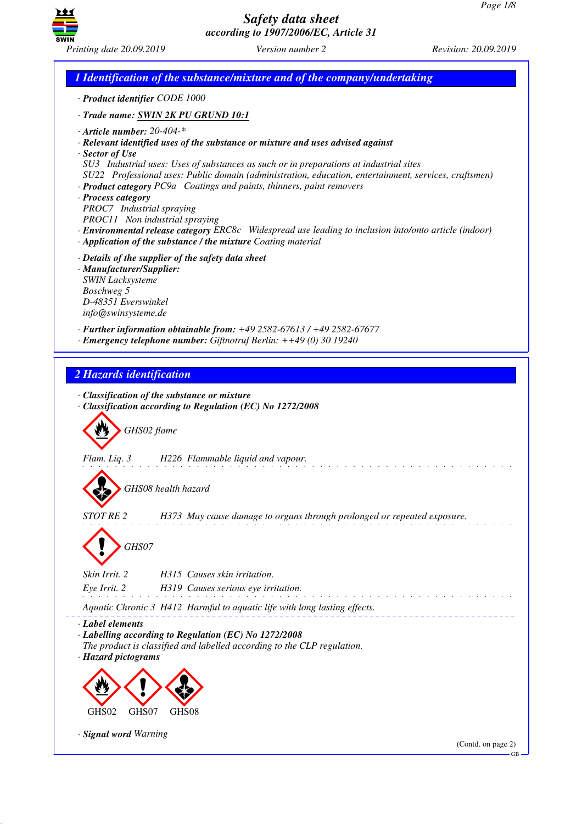

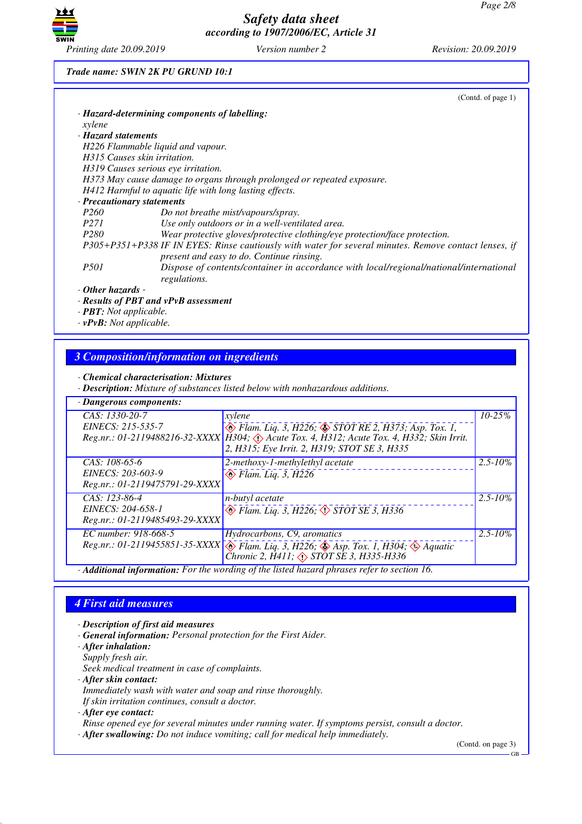

### *Trade name: SWIN 2K PU GRUND 10:1*

|                           | (Cond. of page 1)                                                                                                                                  |
|---------------------------|----------------------------------------------------------------------------------------------------------------------------------------------------|
|                           | · Hazard-determining components of labelling:                                                                                                      |
| xylene                    |                                                                                                                                                    |
| · Hazard statements       |                                                                                                                                                    |
|                           | H226 Flammable liquid and vapour.                                                                                                                  |
|                           | H315 Causes skin irritation.                                                                                                                       |
|                           | H319 Causes serious eye irritation.                                                                                                                |
|                           | H373 May cause damage to organs through prolonged or repeated exposure.                                                                            |
|                           | H412 Harmful to aquatic life with long lasting effects.                                                                                            |
|                           | · Precautionary statements                                                                                                                         |
| P260                      | Do not breathe mist/vapours/spray.                                                                                                                 |
| P271                      | Use only outdoors or in a well-ventilated area.                                                                                                    |
| P280                      | Wear protective gloves/protective clothing/eye protection/face protection.                                                                         |
|                           | P305+P351+P338 IF IN EYES: Rinse cautiously with water for several minutes. Remove contact lenses, if<br>present and easy to do. Continue rinsing. |
| P501                      | Dispose of contents/container in accordance with local/regional/national/international<br>regulations.                                             |
| $\cdot$ Other hazards -   |                                                                                                                                                    |
| $\mathbf{r}$ $\mathbf{r}$ |                                                                                                                                                    |

- *· Results of PBT and vPvB assessment*
- *· PBT: Not applicable.*
- *· vPvB: Not applicable.*

## *3 Composition/information on ingredients*

*· Chemical characterisation: Mixtures*

*· Description: Mixture of substances listed below with nonhazardous additions.*

| · Dangerous components:                                                                  |                                                                                                                                                                                                             |              |  |  |
|------------------------------------------------------------------------------------------|-------------------------------------------------------------------------------------------------------------------------------------------------------------------------------------------------------------|--------------|--|--|
| CAS: 1330-20-7<br>EINECS: 215-535-7                                                      | xylene<br>Blam. Liq. 3, H226; STOT RE 2, H373; Asp. Tox. 1,<br>Reg.nr.: 01-2119488216-32-XXXX   H304; & Acute Tox. 4, H312; Acute Tox. 4, H332; Skin Irrit.<br>2, H315; Eye Irrit. 2, H319; STOT SE 3, H335 | $10 - 25\%$  |  |  |
| CAS: 108-65-6<br>EINECS: 203-603-9<br>Reg.nr.: 01-2119475791-29-XXXX                     | 2-methoxy-1-methylethyl acetate<br>$\leftrightarrow$ Flam. Liq. 3, H226                                                                                                                                     | $2.5 - 10\%$ |  |  |
| $CAS: 123-86-4$<br>EINECS: 204-658-1<br>Reg.nr.: 01-2119485493-29-XXXX                   | n-butyl acetate<br>$\circledast$ Flam. Liq. 3, H226, $\circledast$ STOT SE 3, H336                                                                                                                          | $2.5 - 10\%$ |  |  |
| EC number: 918-668-5                                                                     | Hydrocarbons, C9, aromatics<br>Reg.nr.: 01-2119455851-35-XXXX $\otimes$ Flam. Liq. 3, H226; $\otimes$ Asp. Tox. 1, H304; $\otimes$ Aquatic<br>Chronic 2, $\hat{H}411$ ; $\triangle$ STOT SE 3, H335-H336    | $2.5 - 10\%$ |  |  |
| Additional information: For the wording of the listed hazard phrases refer to section 16 |                                                                                                                                                                                                             |              |  |  |

*· Additional information: For the wording of the listed hazard phrases refer to section 16.*

## *4 First aid measures*

- *· Description of first aid measures*
- *· General information: Personal protection for the First Aider.*
- *· After inhalation:*
- *Supply fresh air.*

*Seek medical treatment in case of complaints.*

*· After skin contact:*

*Immediately wash with water and soap and rinse thoroughly.*

*If skin irritation continues, consult a doctor.*

*· After eye contact:*

*Rinse opened eye for several minutes under running water. If symptoms persist, consult a doctor.*

*· After swallowing: Do not induce vomiting; call for medical help immediately.*

(Contd. on page 3)

GB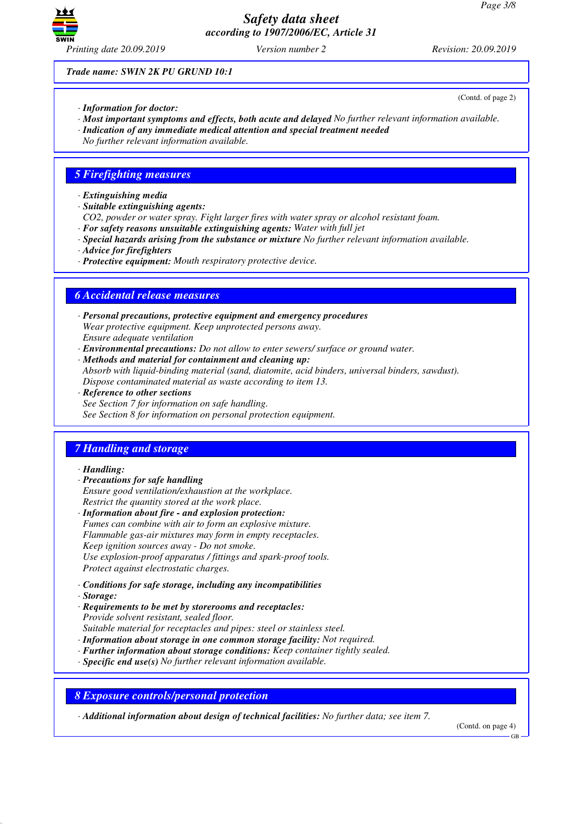

(Contd. of page 2)

*Trade name: SWIN 2K PU GRUND 10:1*

- *· Information for doctor:*
- *· Most important symptoms and effects, both acute and delayed No further relevant information available.*
- *· Indication of any immediate medical attention and special treatment needed*
- *No further relevant information available.*

### *5 Firefighting measures*

- *· Extinguishing media*
- *· Suitable extinguishing agents:*
- *CO2, powder or water spray. Fight larger fires with water spray or alcohol resistant foam.*
- *· For safety reasons unsuitable extinguishing agents: Water with full jet*
- *· Special hazards arising from the substance or mixture No further relevant information available.*
- *· Advice for firefighters*
- *· Protective equipment: Mouth respiratory protective device.*

### *6 Accidental release measures*

- *· Personal precautions, protective equipment and emergency procedures Wear protective equipment. Keep unprotected persons away. Ensure adequate ventilation*
- *· Environmental precautions: Do not allow to enter sewers/ surface or ground water.*
- *· Methods and material for containment and cleaning up: Absorb with liquid-binding material (sand, diatomite, acid binders, universal binders, sawdust). Dispose contaminated material as waste according to item 13.*
- *· Reference to other sections See Section 7 for information on safe handling. See Section 8 for information on personal protection equipment.*

# *7 Handling and storage*

### *· Handling:*

- *· Precautions for safe handling*
- *Ensure good ventilation/exhaustion at the workplace. Restrict the quantity stored at the work place.*
- *· Information about fire and explosion protection: Fumes can combine with air to form an explosive mixture. Flammable gas-air mixtures may form in empty receptacles. Keep ignition sources away - Do not smoke. Use explosion-proof apparatus / fittings and spark-proof tools. Protect against electrostatic charges.*
- *· Conditions for safe storage, including any incompatibilities*
- *· Storage:*
- *· Requirements to be met by storerooms and receptacles: Provide solvent resistant, sealed floor.*
- *Suitable material for receptacles and pipes: steel or stainless steel.*
- *· Information about storage in one common storage facility: Not required.*
- *· Further information about storage conditions: Keep container tightly sealed.*
- *· Specific end use(s) No further relevant information available.*

*8 Exposure controls/personal protection*

*· Additional information about design of technical facilities: No further data; see item 7.*

(Contd. on page 4)

GB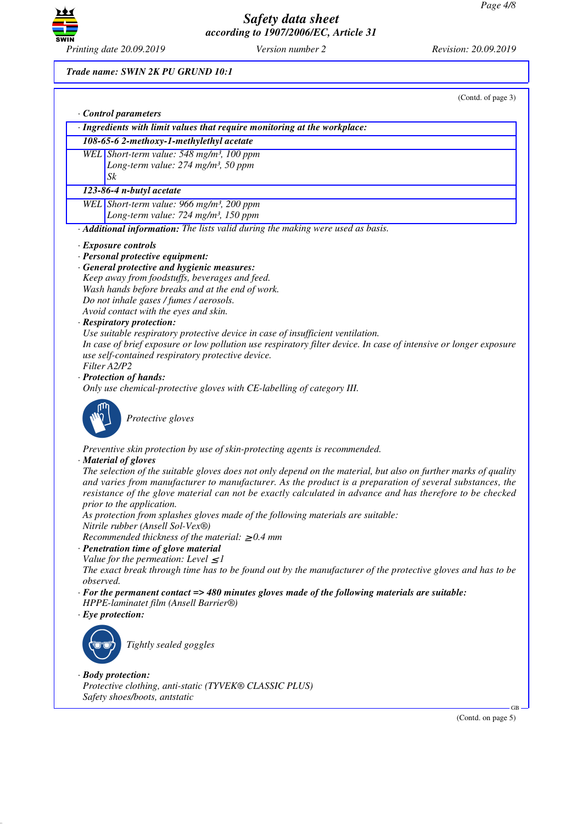

## *Trade name: SWIN 2K PU GRUND 10:1*

|           | (Contd. of page 3)                                                                                                                                                                                                                                                                                                                                                    |
|-----------|-----------------------------------------------------------------------------------------------------------------------------------------------------------------------------------------------------------------------------------------------------------------------------------------------------------------------------------------------------------------------|
|           | Control parameters                                                                                                                                                                                                                                                                                                                                                    |
|           | · Ingredients with limit values that require monitoring at the workplace:                                                                                                                                                                                                                                                                                             |
|           | 108-65-6 2-methoxy-1-methylethyl acetate                                                                                                                                                                                                                                                                                                                              |
|           | WEL Short-term value: 548 mg/m <sup>3</sup> , 100 ppm                                                                                                                                                                                                                                                                                                                 |
|           | Long-term value: 274 mg/m <sup>3</sup> , 50 ppm                                                                                                                                                                                                                                                                                                                       |
|           | Sk                                                                                                                                                                                                                                                                                                                                                                    |
|           | 123-86-4 n-butyl acetate                                                                                                                                                                                                                                                                                                                                              |
|           | WEL Short-term value: 966 mg/m <sup>3</sup> , 200 ppm                                                                                                                                                                                                                                                                                                                 |
|           | Long-term value: 724 mg/m <sup>3</sup> , 150 ppm                                                                                                                                                                                                                                                                                                                      |
|           | · Additional information: The lists valid during the making were used as basis.                                                                                                                                                                                                                                                                                       |
|           | $\cdot$ Exposure controls                                                                                                                                                                                                                                                                                                                                             |
|           | · Personal protective equipment:                                                                                                                                                                                                                                                                                                                                      |
|           | · General protective and hygienic measures:                                                                                                                                                                                                                                                                                                                           |
|           | Keep away from foodstuffs, beverages and feed.                                                                                                                                                                                                                                                                                                                        |
|           | Wash hands before breaks and at the end of work.                                                                                                                                                                                                                                                                                                                      |
|           | Do not inhale gases / fumes / aerosols.                                                                                                                                                                                                                                                                                                                               |
|           | Avoid contact with the eyes and skin.                                                                                                                                                                                                                                                                                                                                 |
|           | · Respiratory protection:                                                                                                                                                                                                                                                                                                                                             |
|           | Use suitable respiratory protective device in case of insufficient ventilation.                                                                                                                                                                                                                                                                                       |
|           | In case of brief exposure or low pollution use respiratory filter device. In case of intensive or longer exposure<br>use self-contained respiratory protective device.                                                                                                                                                                                                |
|           | Filter A2/P2                                                                                                                                                                                                                                                                                                                                                          |
|           | · Protection of hands:                                                                                                                                                                                                                                                                                                                                                |
|           | Only use chemical-protective gloves with CE-labelling of category III.                                                                                                                                                                                                                                                                                                |
|           | Protective gloves                                                                                                                                                                                                                                                                                                                                                     |
|           | Preventive skin protection by use of skin-protecting agents is recommended.<br>· Material of gloves                                                                                                                                                                                                                                                                   |
|           | The selection of the suitable gloves does not only depend on the material, but also on further marks of quality<br>and varies from manufacturer to manufacturer. As the product is a preparation of several substances, the<br>resistance of the glove material can not be exactly calculated in advance and has therefore to be checked<br>prior to the application. |
|           | As protection from splashes gloves made of the following materials are suitable:<br>Nitrile rubber (Ansell Sol-Vex®)                                                                                                                                                                                                                                                  |
|           | Recommended thickness of the material: $\geq 0.4$ mm                                                                                                                                                                                                                                                                                                                  |
|           | · Penetration time of glove material                                                                                                                                                                                                                                                                                                                                  |
|           | Value for the permeation: Level $\leq$ 1                                                                                                                                                                                                                                                                                                                              |
|           | The exact break through time has to be found out by the manufacturer of the protective gloves and has to be                                                                                                                                                                                                                                                           |
| observed. | $\cdot$ For the permanent contact => 480 minutes gloves made of the following materials are suitable:                                                                                                                                                                                                                                                                 |
|           | HPPE-laminatet film (Ansell Barrier®)                                                                                                                                                                                                                                                                                                                                 |
|           | $\cdot$ Eye protection:                                                                                                                                                                                                                                                                                                                                               |
|           |                                                                                                                                                                                                                                                                                                                                                                       |
|           | Tightly sealed goggles                                                                                                                                                                                                                                                                                                                                                |
|           | $\cdot$ Body protection:                                                                                                                                                                                                                                                                                                                                              |
|           | Protective clothing, anti-static (TYVEK® CLASSIC PLUS)                                                                                                                                                                                                                                                                                                                |
|           | Safety shoes/boots, antstatic                                                                                                                                                                                                                                                                                                                                         |

(Contd. on page 5)

GB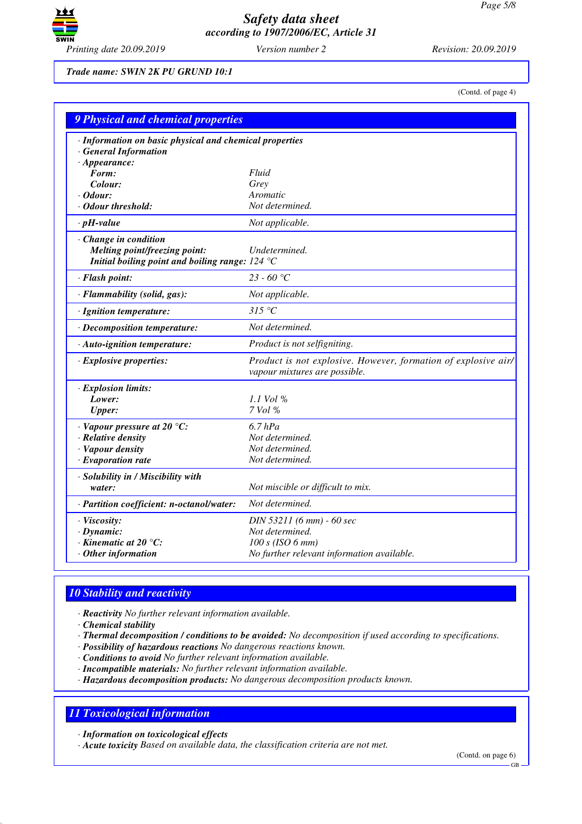

*Trade name: SWIN 2K PU GRUND 10:1*

(Contd. of page 4)

| <b>9 Physical and chemical properties</b>                                                                 |                                                                                                 |
|-----------------------------------------------------------------------------------------------------------|-------------------------------------------------------------------------------------------------|
| · Information on basic physical and chemical properties<br><b>General Information</b>                     |                                                                                                 |
| $\cdot$ Appearance:                                                                                       |                                                                                                 |
| Form:                                                                                                     | Fluid                                                                                           |
| Colour:                                                                                                   | Grey                                                                                            |
| · Odour:                                                                                                  | Aromatic                                                                                        |
| · Odour threshold:                                                                                        | Not determined.                                                                                 |
| $\cdot$ pH-value                                                                                          | Not applicable.                                                                                 |
| Change in condition<br>Melting point/freezing point:<br>Initial boiling point and boiling range: $124 °C$ | Undetermined.                                                                                   |
| · Flash point:                                                                                            | 23 - 60 °C                                                                                      |
| · Flammability (solid, gas):                                                                              | Not applicable.                                                                                 |
| · Ignition temperature:                                                                                   | 315 °C                                                                                          |
| · Decomposition temperature:                                                                              | Not determined.                                                                                 |
| $\cdot$ Auto-ignition temperature:                                                                        | Product is not selfigniting.                                                                    |
| · Explosive properties:                                                                                   | Product is not explosive. However, formation of explosive air/<br>vapour mixtures are possible. |
| · Explosion limits:                                                                                       |                                                                                                 |
| Lower:                                                                                                    | $1.1$ Vol %                                                                                     |
| <b>Upper:</b>                                                                                             | 7 Vol %                                                                                         |
| $\cdot$ Vapour pressure at 20 $\degree$ C:                                                                | $6.7$ hPa                                                                                       |
| · Relative density                                                                                        | Not determined.                                                                                 |
| · Vapour density                                                                                          | Not determined.                                                                                 |
| · Evaporation rate                                                                                        | Not determined.                                                                                 |
| · Solubility in / Miscibility with                                                                        |                                                                                                 |
| water:                                                                                                    | Not miscible or difficult to mix.                                                               |
| · Partition coefficient: n-octanol/water:                                                                 | Not determined.                                                                                 |
| · Viscosity:                                                                                              | DIN 53211 (6 mm) - 60 sec                                                                       |
| $\cdot$ Dynamic:                                                                                          | Not determined.                                                                                 |
| $\cdot$ Kinematic at 20 $\degree$ C:                                                                      | $100 s$ (ISO 6 mm)                                                                              |
| Other information                                                                                         | No further relevant information available.                                                      |

# *10 Stability and reactivity*

*· Reactivity No further relevant information available.*

*· Chemical stability*

*· Thermal decomposition / conditions to be avoided: No decomposition if used according to specifications.*

- *· Possibility of hazardous reactions No dangerous reactions known.*
- *· Conditions to avoid No further relevant information available.*
- *· Incompatible materials: No further relevant information available.*

*· Hazardous decomposition products: No dangerous decomposition products known.*

# *11 Toxicological information*

*· Information on toxicological effects*

*· Acute toxicity Based on available data, the classification criteria are not met.*

(Contd. on page 6)

GB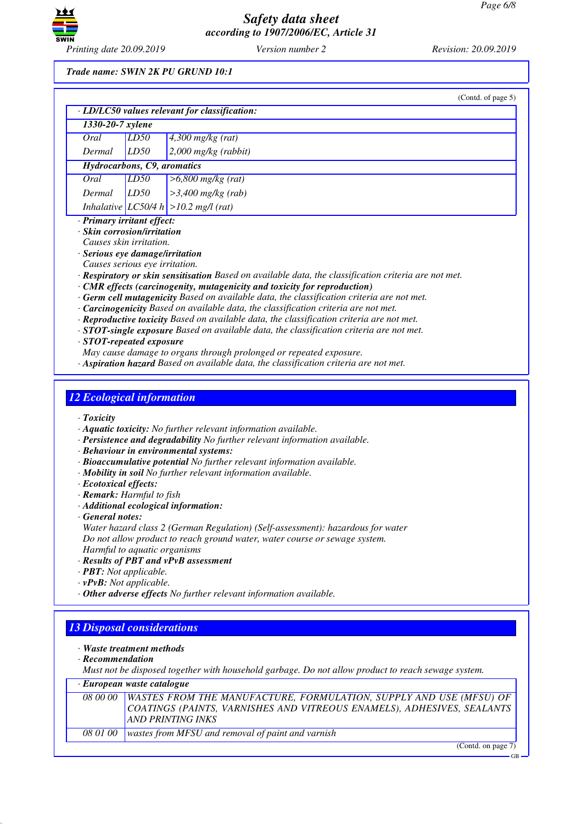

## *Trade name: SWIN 2K PU GRUND 10:1*

|                                   |      | (Contd. of page 5)                                                                                          |
|-----------------------------------|------|-------------------------------------------------------------------------------------------------------------|
|                                   |      | $\cdot$ LD/LC50 values relevant for classification:                                                         |
| 1330-20-7 xylene                  |      |                                                                                                             |
| Oral                              | LD50 | $4,300$ mg/kg (rat)                                                                                         |
| Dermal                            | LD50 | $2,000$ mg/kg (rabbit)                                                                                      |
| Hydrocarbons, C9, aromatics       |      |                                                                                                             |
| Oral                              | LD50 | $>6,800$ mg/kg (rat)                                                                                        |
| Dermal                            | LD50 | $>3,400$ mg/kg (rab)                                                                                        |
|                                   |      | Inhalative $ LCS0/4 h  > 10.2$ mg/l (rat)                                                                   |
| $\cdot$ Primary irritant effect:  |      |                                                                                                             |
| $\cdot$ Skin corrosion/irritation |      |                                                                                                             |
| Causes skin irritation.           |      |                                                                                                             |
| · Serious eye damage/irritation   |      |                                                                                                             |
| Causes serious eye irritation.    |      |                                                                                                             |
|                                   |      | $\cdot$ Respiratory or skin sensitisation Based on available data, the classification criteria are not met. |
|                                   |      | $\cdot$ CMR effects (carcinogenity, mutagenicity and toxicity for reproduction)                             |
|                                   |      | $\cdot$ Germ cell mutagenicity Based on available data, the classification criteria are not met.            |
|                                   |      | · Carcinogenicity Based on available data, the classification criteria are not met.                         |
|                                   |      | $\cdot$ Reproductive toxicity Based on available data, the classification criteria are not met.             |
|                                   |      | $\cdot$ STOT-single exposure Based on available data, the classification criteria are not met.              |
|                                   |      |                                                                                                             |

*· STOT-repeated exposure*

*May cause damage to organs through prolonged or repeated exposure.*

*· Aspiration hazard Based on available data, the classification criteria are not met.*

# *12 Ecological information*

- *· Toxicity*
- *· Aquatic toxicity: No further relevant information available.*
- *· Persistence and degradability No further relevant information available.*
- *· Behaviour in environmental systems:*
- *· Bioaccumulative potential No further relevant information available.*
- *· Mobility in soil No further relevant information available.*
- *· Ecotoxical effects:*
- *· Remark: Harmful to fish*
- *· Additional ecological information:*
- *· General notes:*

*Water hazard class 2 (German Regulation) (Self-assessment): hazardous for water Do not allow product to reach ground water, water course or sewage system. Harmful to aquatic organisms*

### *· Results of PBT and vPvB assessment*

- *· PBT: Not applicable.*
- *· vPvB: Not applicable.*
- *· Other adverse effects No further relevant information available.*

# *13 Disposal considerations*

- *· Waste treatment methods*
- *· Recommendation*

*Must not be disposed together with household garbage. Do not allow product to reach sewage system.*

*· European waste catalogue*

| <i>08 00 00</i> | <b>WASTES FROM THE MANUFACTURE, FORMULATION, SUPPLY AND USE (MFSU) OF</b> |
|-----------------|---------------------------------------------------------------------------|
|                 | COATINGS (PAINTS, VARNISHES AND VITREOUS ENAMELS), ADHESIVES, SEALANTS    |
|                 | AND PRINTING INKS                                                         |
| 08 01 00        | wastes from MFSU and removal of paint and varnish                         |
|                 |                                                                           |

(Contd. on page 7)

GB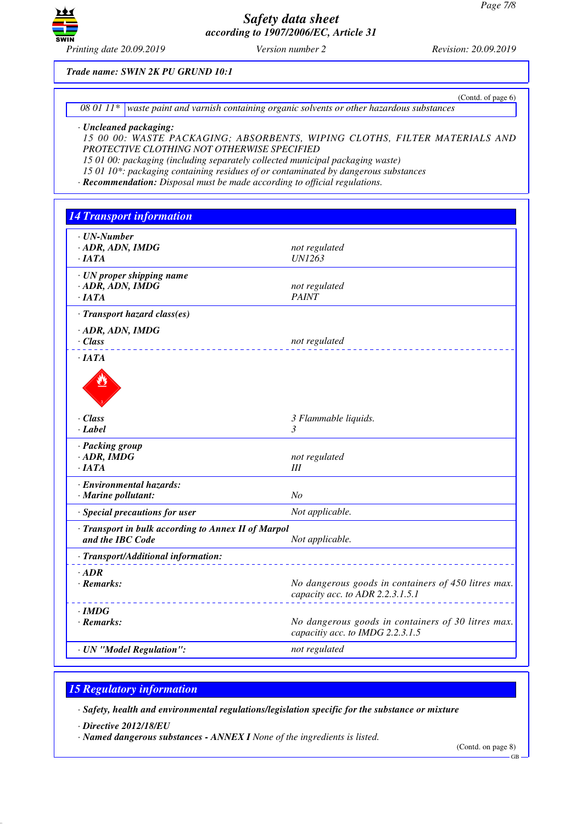

(Contd. of page 6)

*Trade name: SWIN 2K PU GRUND 10:1*

*08 01 11\* waste paint and varnish containing organic solvents or other hazardous substances*

### *· Uncleaned packaging:*

*15 00 00: WASTE PACKAGING; ABSORBENTS, WIPING CLOTHS, FILTER MATERIALS AND PROTECTIVE CLOTHING NOT OTHERWISE SPECIFIED*

*15 01 00: packaging (including separately collected municipal packaging waste)*

*15 01 10\*: packaging containing residues of or contaminated by dangerous substances*

*· Recommendation: Disposal must be made according to official regulations.*

| <b>14 Transport information</b>                                         |                                                                                         |
|-------------------------------------------------------------------------|-----------------------------------------------------------------------------------------|
| $\cdot$ UN-Number<br>· ADR, ADN, IMDG<br>$\cdot$ JATA                   | not regulated<br><b>UN1263</b>                                                          |
| · UN proper shipping name<br>$\cdot$ ADR, ADN, IMDG<br>$\cdot$ IATA     | not regulated<br><b>PAINT</b>                                                           |
| · Transport hazard class(es)                                            |                                                                                         |
| $-$ ADR, ADN, IMDG<br>$\cdot$ Class                                     | not regulated                                                                           |
| $\cdot$ IATA<br>$\cdot$ Class                                           |                                                                                         |
| $\cdot$ Label                                                           | 3 Flammable liquids.<br>$\mathcal{E}$                                                   |
| · Packing group<br>$\cdot$ ADR, IMDG<br>$\cdot$ <i>IATA</i>             | not regulated<br>Ш                                                                      |
| · Environmental hazards:<br>· Marine pollutant:                         | N <sub>o</sub>                                                                          |
| · Special precautions for user                                          | Not applicable.                                                                         |
| · Transport in bulk according to Annex II of Marpol<br>and the IBC Code | Not applicable.                                                                         |
| · Transport/Additional information:                                     |                                                                                         |
| $·$ <i>ADR</i><br>$\cdot$ Remarks:                                      | No dangerous goods in containers of 450 litres max.<br>capacity acc. to ADR 2.2.3.1.5.1 |
| $\cdot$ IMDG<br>$\cdot$ Remarks:                                        | No dangerous goods in containers of 30 litres max.<br>capacitiy acc. to IMDG 2.2.3.1.5  |
| · UN "Model Regulation":                                                | not regulated                                                                           |
|                                                                         |                                                                                         |

## *15 Regulatory information*

*· Safety, health and environmental regulations/legislation specific for the substance or mixture*

*· Directive 2012/18/EU*

*· Named dangerous substances - ANNEX I None of the ingredients is listed.*

(Contd. on page 8)

GB